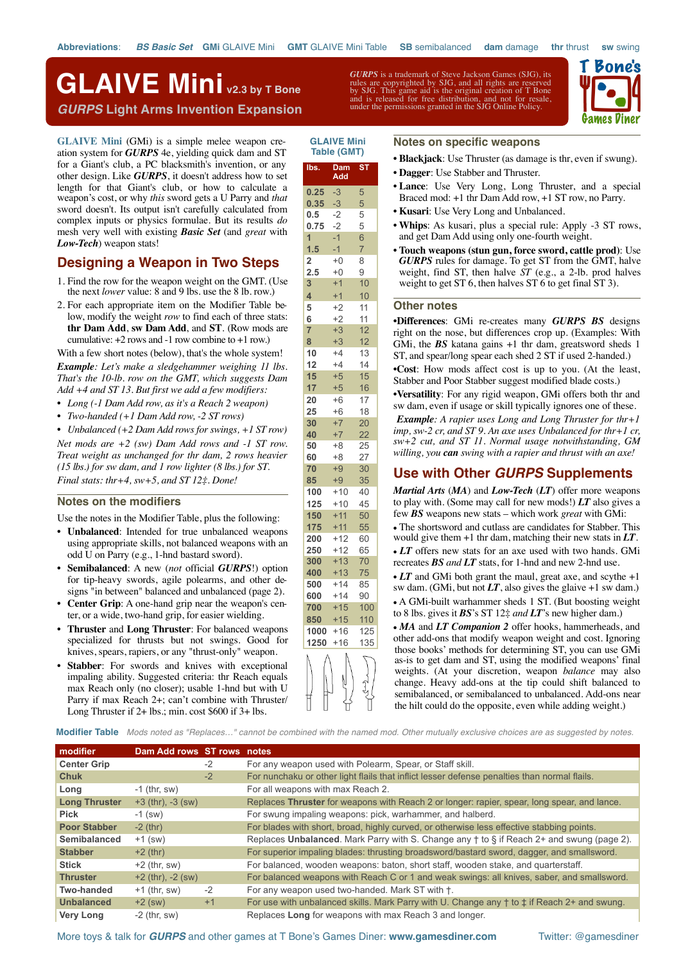**lbs. Dam Add**

**GLAIVE Mini Table (GMT)**

**ST**

# *GURPS* **Light Arms Invention Expansion GLAIVE Mini v2.3 by T Bone**

**[GLAIVE Mini](http://www.gamesdiner.com/glaive_mini)** (GMi) is a simple melee weapon creation system for *GURPS* 4e, yielding quick dam and ST for a Giant's club, a PC blacksmith's invention, or any other design. Like *GURPS*, it doesn't address how to set length for that Giant's club, or how to calculate a weapon's cost, or why *this* sword gets a U Parry and *that* sword doesn't. Its output isn't carefully calculated from complex inputs or physics formulae. But its results *do* mesh very well with existing *Basic Set* (and *great* with *Low-Tech*) weapon stats!

# **Designing a Weapon in Two Steps**

- 1. Find the row for the weapon weight on the GMT. (Use the next *lower* value: 8 and 9 lbs. use the 8 lb. row.)
- 2. For each appropriate item on the Modifier Table below, modify the weight *row* to find each of three stats: **thr Dam Add**, **sw Dam Add**, and **ST**. (Row mods are cumulative:  $+2$  rows and  $-1$  row combine to  $+1$  row.)

With a few short notes (below), that's the whole system! *Example: Let's make a sledgehammer weighing 11 lbs. That's the 10-lb. row on the GMT, which suggests Dam Add +4 and ST 13. But first we add a few modifiers:*

- *• Long (-1 Dam Add row, as it's a Reach 2 weapon)*
- *• Two-handed (+1 Dam Add row, -2 ST rows)*

*• Unbalanced (+2 Dam Add rows for swings, +1 ST row) Net mods are +2 (sw) Dam Add rows and -1 ST row. Treat weight as unchanged for thr dam, 2 rows heavier (15 lbs.) for sw dam, and 1 row lighter (8 lbs.) for ST. Final stats: thr+4, sw+5, and ST 12‡. Done!*

### **Notes on the modifiers**

Use the notes in the Modifier Table, plus the following:

- **Unbalanced**: Intended for true unbalanced weapons using appropriate skills, not balanced weapons with an odd U on Parry (e.g., 1-hnd bastard sword).
- **Semibalanced**: A new (*not* official *GURPS*!) option for tip-heavy swords, agile polearms, and other designs "in between" balanced and unbalanced (page 2).
- **Center Grip**: A one-hand grip near the weapon's center, or a wide, two-hand grip, for easier wielding.
- **Thruster** and **Long Thruster**: For balanced weapons specialized for thrusts but not swings. Good for knives, spears, rapiers, or any "thrust-only" weapon.
- **Stabber:** For swords and knives with exceptional impaling ability. Suggested criteria: thr Reach equals max Reach only (no closer); usable 1-hnd but with U Parry if max Reach 2+; can't combine with Thruster/ Long Thruster if 2+ lbs.; min. cost \$600 if 3+ lbs.

*GURPS* is a trademark of Steve Jackson Games (SJG), its rules are copyrighted by SJG, and all rights are reserved by SJG. This game aid is the original creation of T Bone and is released for free distribution, and not for resale, under the permissions granted in the SJG Online Policy.



### **Notes on specific weapons**

- **Blackjack**: Use Thruster (as damage is thr, even if swung).
- **Dagger**: Use Stabber and Thruster.
- **Lance**: Use Very Long, Long Thruster, and a special Braced mod: +1 thr Dam Add row, +1 ST row, no Parry.
- **Kusari**: Use Very Long and Unbalanced.
- **Whips**: As kusari, plus a special rule: Apply -3 ST rows, and get Dam Add using only one-fourth weight.
- **Touch weapons (stun gun, force sword, cattle prod)**: Use *GURPS* rules for damage. To get ST from the GMT, halve weight, find ST, then halve *ST* (e.g., a 2-lb. prod halves weight to get ST 6, then halves ST 6 to get final ST 3).

## **Other notes**

•**Differences**: GMi re-creates many *GURPS BS* designs right on the nose, but differences crop up. (Examples: With GMi, the *BS* katana gains +1 thr dam, greatsword sheds 1 ST, and spear/long spear each shed 2 ST if used 2-handed.)

•**Cost**: How mods affect cost is up to you. (At the least, Stabber and Poor Stabber suggest modified blade costs.)

•**Versatility**: For any rigid weapon, GMi offers both thr and sw dam, even if usage or skill typically ignores one of these.

•*Example: A rapier uses Long and Long Thruster for thr+1 imp, sw-2 cr, and ST 9. An axe uses Unbalanced for thr+1 cr, sw+2 cut, and ST 11. Normal usage notwithstanding, GM willing, you can swing with a rapier and thrust with an axe!*

# **Use with Other** *GURPS* **Supplements**

*Martial Arts* (*MA*) and *Low-Tech* (*LT*) offer more weapons to play with. (Some may call for new mods!) *LT* also gives a few *BS* weapons new stats – which work *great* with GMi:

- The shortsword and cutlass are candidates for Stabber. This would give them +1 thr dam, matching their new stats in *LT*.
- *LT* offers new stats for an axe used with two hands. GMi recreates *BS and LT* stats, for 1-hnd and new 2-hnd use.
- LT and GMi both grant the maul, great axe, and scythe +1 sw dam. (GMi, but not  $LT$ , also gives the glaive  $+1$  sw dam.) • A GMi-built warhammer sheds 1 ST. (But boosting weight to 8 lbs. gives it *BS*'s ST 12‡ *and LT*'s new higher dam.)

• *MA* and *LT Companion 2* offer hooks, hammerheads, and other add-ons that modify weapon weight and cost. Ignoring those books' methods for determining ST, you can use GMi as-is to get dam and ST, using the modified weapons' final weights. (At your discretion, weapon *balance* may also change. Heavy add-ons at the tip could shift balanced to semibalanced, or semibalanced to unbalanced. Add-ons near the hilt could do the opposite, even while adding weight.)

**Modifier Table** *Mods noted as "Replaces…" cannot be combined with the named mod. Other mutually exclusive choices are as suggested by notes.* 

| modifier             | Dam Add rows ST rows notes |      |                                                                                                              |
|----------------------|----------------------------|------|--------------------------------------------------------------------------------------------------------------|
| <b>Center Grip</b>   |                            | $-2$ | For any weapon used with Polearm, Spear, or Staff skill.                                                     |
| Chuk                 | $-2$                       |      | For nunchaku or other light flails that inflict lesser defense penalties than normal flails.                 |
| Long                 | $-1$ (thr, sw)             |      | For all weapons with max Reach 2.                                                                            |
| <b>Long Thruster</b> | $+3$ (thr), $-3$ (sw)      |      | Replaces Thruster for weapons with Reach 2 or longer: rapier, spear, long spear, and lance.                  |
| <b>Pick</b>          | $-1$ (sw)                  |      | For swung impaling weapons: pick, warhammer, and halberd.                                                    |
| <b>Poor Stabber</b>  | $-2$ (thr)                 |      | For blades with short, broad, highly curved, or otherwise less effective stabbing points.                    |
| Semibalanced         | $+1$ (sw)                  |      | Replaces Unbalanced. Mark Parry with S. Change any † to § if Reach 2+ and swung (page 2).                    |
| <b>Stabber</b>       | $+2$ (thr)                 |      | For superior impaling blades: thrusting broadsword/bastard sword, dagger, and smallsword.                    |
| <b>Stick</b>         | $+2$ (thr, sw)             |      | For balanced, wooden weapons: baton, short staff, wooden stake, and quarterstaff.                            |
| <b>Thruster</b>      | $+2$ (thr), $-2$ (sw)      |      | For balanced weapons with Reach C or 1 and weak swings: all knives, saber, and smallsword.                   |
| Two-handed           | $+1$ (thr, sw)             | $-2$ | For any weapon used two-handed. Mark ST with $\dagger$ .                                                     |
| <b>Unbalanced</b>    | $+2$ (sw)                  | $+1$ | For use with unbalanced skills. Mark Parry with U. Change any $\dagger$ to $\ddagger$ if Reach 2+ and swung. |
| <b>Very Long</b>     | $-2$ (thr, sw)             |      | Replaces Long for weapons with max Reach 3 and longer.                                                       |

More toys & talk for *GURPS* and other games at T Bone's Games Diner: **[www.gamesdiner.com](http://www.gamesdiner.com)** Twitter: @gamesdiner